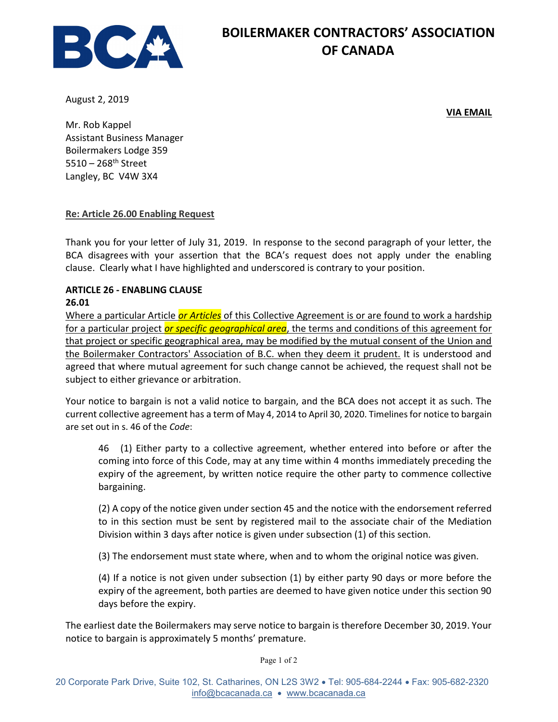

## BOILERMAKER CONTRACTORS' ASSOCIATION OF CANADA

August 2, 2019

VIA EMAIL

Mr. Rob Kappel Assistant Business Manager Boilermakers Lodge 359  $5510 - 268$ <sup>th</sup> Street Langley, BC V4W 3X4

## Re: Article 26.00 Enabling Request

Thank you for your letter of July 31, 2019. In response to the second paragraph of your letter, the BCA disagrees with your assertion that the BCA's request does not apply under the enabling clause. Clearly what I have highlighted and underscored is contrary to your position.

## ARTICLE 26 - ENABLING CLAUSE

## 26.01

Where a particular Article or Articles of this Collective Agreement is or are found to work a hardship for a particular project *or specific geographical area*, the terms and conditions of this agreement for that project or specific geographical area, may be modified by the mutual consent of the Union and the Boilermaker Contractors' Association of B.C. when they deem it prudent. It is understood and agreed that where mutual agreement for such change cannot be achieved, the request shall not be subject to either grievance or arbitration.

Your notice to bargain is not a valid notice to bargain, and the BCA does not accept it as such. The current collective agreement has a term of May 4, 2014 to April 30, 2020. Timelines for notice to bargain are set out in s. 46 of the Code:

46 (1) Either party to a collective agreement, whether entered into before or after the coming into force of this Code, may at any time within 4 months immediately preceding the expiry of the agreement, by written notice require the other party to commence collective bargaining.

(2) A copy of the notice given under section 45 and the notice with the endorsement referred to in this section must be sent by registered mail to the associate chair of the Mediation Division within 3 days after notice is given under subsection (1) of this section.

(3) The endorsement must state where, when and to whom the original notice was given.

(4) If a notice is not given under subsection (1) by either party 90 days or more before the expiry of the agreement, both parties are deemed to have given notice under this section 90 days before the expiry.

The earliest date the Boilermakers may serve notice to bargain is therefore December 30, 2019. Your notice to bargain is approximately 5 months' premature.

Page 1 of 2